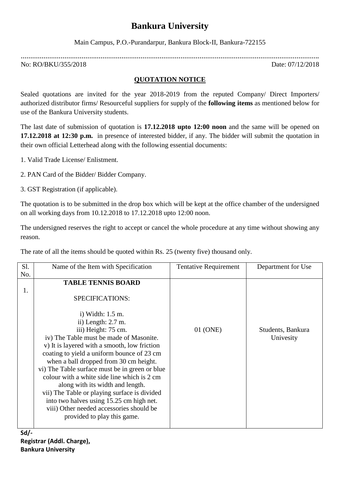# **Bankura University**

Main Campus, P.O.-Purandarpur, Bankura Block-II, Bankura-722155

**………………………………………………………………………………………………………………………………………….** No: RO/BKU/355/2018 Date: 07/12/2018

## **QUOTATION NOTICE**

Sealed quotations are invited for the year 2018-2019 from the reputed Company/ Direct Importers/ authorized distributor firms/ Resourceful suppliers for supply of the **following items** as mentioned below for use of the Bankura University students.

The last date of submission of quotation is **17.12.2018 upto 12:00 noon** and the same will be opened on **17.12.2018 at 12:30 p.m.** in presence of interested bidder, if any. The bidder will submit the quotation in their own official Letterhead along with the following essential documents:

1. Valid Trade License/ Enlistment.

2. PAN Card of the Bidder/ Bidder Company.

3. GST Registration (if applicable).

The quotation is to be submitted in the drop box which will be kept at the office chamber of the undersigned on all working days from 10.12.2018 to 17.12.2018 upto 12:00 noon.

The undersigned reserves the right to accept or cancel the whole procedure at any time without showing any reason.

The rate of all the items should be quoted within Rs. 25 (twenty five) thousand only.

| S1. | Name of the Item with Specification            | <b>Tentative Requirement</b> | Department for Use |
|-----|------------------------------------------------|------------------------------|--------------------|
| No. |                                                |                              |                    |
|     | <b>TABLE TENNIS BOARD</b>                      |                              |                    |
| 1.  |                                                |                              |                    |
|     | SPECIFICATIONS:                                |                              |                    |
|     |                                                |                              |                    |
|     | i) Width: $1.5$ m.                             |                              |                    |
|     | ii) Length: $2.7$ m.                           |                              |                    |
|     | iii) Height: 75 cm.                            | 01 (ONE)                     | Students, Bankura  |
|     | iv) The Table must be made of Masonite.        |                              | Univesity          |
|     | v) It is layered with a smooth, low friction   |                              |                    |
|     | coating to yield a uniform bounce of 23 cm     |                              |                    |
|     | when a ball dropped from 30 cm height.         |                              |                    |
|     | vi) The Table surface must be in green or blue |                              |                    |
|     | colour with a white side line which is 2 cm    |                              |                    |
|     | along with its width and length.               |                              |                    |
|     | vii) The Table or playing surface is divided   |                              |                    |
|     | into two halves using 15.25 cm high net.       |                              |                    |
|     | viii) Other needed accessories should be       |                              |                    |
|     | provided to play this game.                    |                              |                    |
|     |                                                |                              |                    |

**Sd/- Registrar (Addl. Charge), Bankura University**